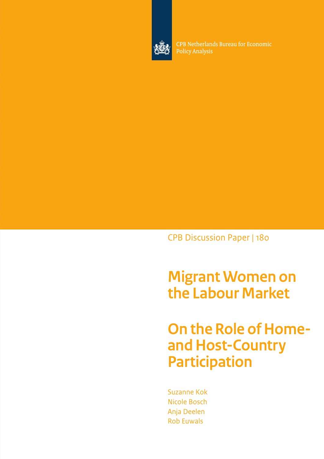

CPB Netherlands Bureau for Economic **Policy Analysis** 

CPB Discussion Paper | 180

**Migrant Women on the Labour Market** 

**On the Role of Homeand Host-Country Participation**

Suzanne Kok Nicole Bosch Anja Deelen Rob Euwals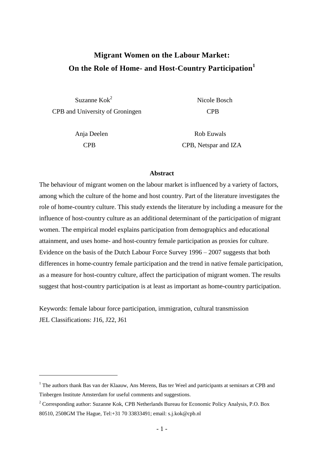# **Migrant Women on the Labour Market: On the Role of Home- and Host-Country Participation<sup>1</sup>**

 Suzanne Kok<sup>2</sup> CPB and University of Groningen CPB

<u>.</u>

Nicole Bosch

Anja Deelen Rob Euwals CPB CPB, Netspar and IZA

#### **Abstract**

The behaviour of migrant women on the labour market is influenced by a variety of factors, among which the culture of the home and host country. Part of the literature investigates the role of home-country culture. This study extends the literature by including a measure for the influence of host-country culture as an additional determinant of the participation of migrant women. The empirical model explains participation from demographics and educational attainment, and uses home- and host-country female participation as proxies for culture. Evidence on the basis of the Dutch Labour Force Survey 1996 – 2007 suggests that both differences in home-country female participation and the trend in native female participation, as a measure for host-country culture, affect the participation of migrant women. The results suggest that host-country participation is at least as important as home-country participation.

Keywords: female labour force participation, immigration, cultural transmission JEL Classifications: J16, J22, J61

<sup>&</sup>lt;sup>1</sup> The authors thank Bas van der Klaauw, Ans Merens, Bas ter Weel and participants at seminars at CPB and Tinbergen Institute Amsterdam for useful comments and suggestions.

<sup>2</sup> Corresponding author: Suzanne Kok, CPB Netherlands Bureau for Economic Policy Analysis, P.O. Box 80510, 2508GM The Hague, Tel:+31 70 33833491; email: s.j.kok@cpb.nl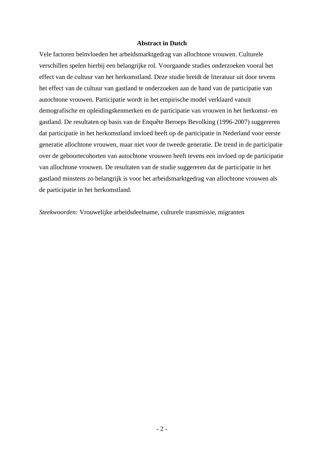## **Abstract in Dutch**

Vele factoren beïnvloeden het arbeidsmarktgedrag van allochtone vrouwen. Culturele verschillen spelen hierbij een belangrijke rol. Voorgaande studies onderzoeken vooral het effect van de cultuur van het herkomstland. Deze studie breidt de literatuur uit door tevens het effect van de cultuur van gastland te onderzoeken aan de hand van de participatie van autochtone vrouwen. Participatie wordt in het empirische model verklaard vanuit demografische en opleidingskenmerken en de participatie van vrouwen in het herkomst- en gastland. De resultaten op basis van de Enquête Beroeps Bevolking (1996-2007) suggereren dat participatie in het herkomstland invloed heeft op de participatie in Nederland voor eerste generatie allochtone vrouwen, maar niet voor de tweede generatie. De trend in de participatie over de geboortecohorten van autochtone vrouwen heeft tevens een invloed op de participatie van allochtone vrouwen. De resultaten van de studie suggereren dat de participatie in het gastland minstens zo belangrijk is voor het arbeidsmarktgedrag van allochtone vrouwen als de participatie in het herkomstland.

*Steekwoorden:* Vrouwelijke arbeidsdeelname, culturele transmissie, migranten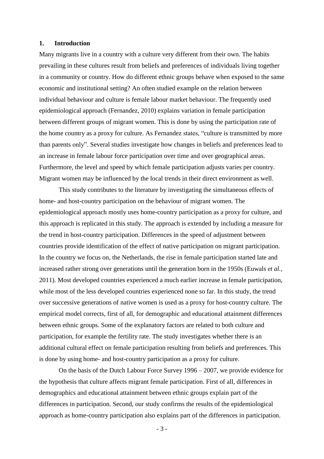### **1. Introduction**

Many migrants live in a country with a culture very different from their own. The habits prevailing in these cultures result from beliefs and preferences of individuals living together in a community or country. How do different ethnic groups behave when exposed to the same economic and institutional setting? An often studied example on the relation between individual behaviour and culture is female labour market behaviour. The frequently used epidemiological approach (Fernandez, 2010) explains variation in female participation between different groups of migrant women. This is done by using the participation rate of the home country as a proxy for culture. As Fernandez states, "culture is transmitted by more than parents only". Several studies investigate how changes in beliefs and preferences lead to an increase in female labour force participation over time and over geographical areas. Furthermore, the level and speed by which female participation adjusts varies per country. Migrant women may be influenced by the local trends in their direct environment as well.

This study contributes to the literature by investigating the simultaneous effects of home- and host-country participation on the behaviour of migrant women. The epidemiological approach mostly uses home-country participation as a proxy for culture, and this approach is replicated in this study. The approach is extended by including a measure for the trend in host-country participation. Differences in the speed of adjustment between countries provide identification of the effect of native participation on migrant participation. In the country we focus on, the Netherlands, the rise in female participation started late and increased rather strong over generations until the generation born in the 1950s (Euwals *et al.*, 2011). Most developed countries experienced a much earlier increase in female participation, while most of the less developed countries experienced none so far. In this study, the trend over successive generations of native women is used as a proxy for host-country culture. The empirical model corrects, first of all, for demographic and educational attainment differences between ethnic groups. Some of the explanatory factors are related to both culture and participation, for example the fertility rate. The study investigates whether there is an additional cultural effect on female participation resulting from beliefs and preferences. This is done by using home- and host-country participation as a proxy for culture.

On the basis of the Dutch Labour Force Survey 1996 – 2007, we provide evidence for the hypothesis that culture affects migrant female participation. First of all, differences in demographics and educational attainment between ethnic groups explain part of the differences in participation. Second, our study confirms the results of the epidemiological approach as home-country participation also explains part of the differences in participation.

- 3 -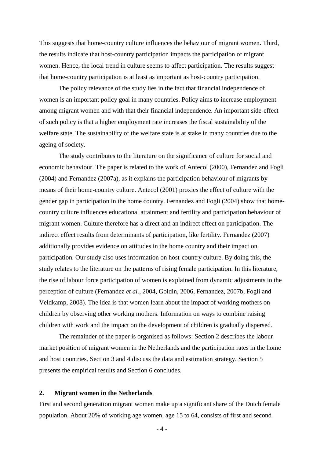This suggests that home-country culture influences the behaviour of migrant women. Third, the results indicate that host-country participation impacts the participation of migrant women. Hence, the local trend in culture seems to affect participation. The results suggest that home-country participation is at least as important as host-country participation.

The policy relevance of the study lies in the fact that financial independence of women is an important policy goal in many countries. Policy aims to increase employment among migrant women and with that their financial independence. An important side-effect of such policy is that a higher employment rate increases the fiscal sustainability of the welfare state. The sustainability of the welfare state is at stake in many countries due to the ageing of society.

The study contributes to the literature on the significance of culture for social and economic behaviour. The paper is related to the work of Antecol (2000), Fernandez and Fogli (2004) and Fernandez (2007a), as it explains the participation behaviour of migrants by means of their home-country culture. Antecol (2001) proxies the effect of culture with the gender gap in participation in the home country. Fernandez and Fogli (2004) show that homecountry culture influences educational attainment and fertility and participation behaviour of migrant women. Culture therefore has a direct and an indirect effect on participation. The indirect effect results from determinants of participation, like fertility. Fernandez (2007) additionally provides evidence on attitudes in the home country and their impact on participation. Our study also uses information on host-country culture. By doing this, the study relates to the literature on the patterns of rising female participation. In this literature, the rise of labour force participation of women is explained from dynamic adjustments in the perception of culture (Fernandez *et al.*, 2004, Goldin, 2006, Fernandez, 2007b, Fogli and Veldkamp, 2008). The idea is that women learn about the impact of working mothers on children by observing other working mothers. Information on ways to combine raising children with work and the impact on the development of children is gradually dispersed.

The remainder of the paper is organised as follows: Section 2 describes the labour market position of migrant women in the Netherlands and the participation rates in the home and host countries. Section 3 and 4 discuss the data and estimation strategy. Section 5 presents the empirical results and Section 6 concludes.

## **2. Migrant women in the Netherlands**

First and second generation migrant women make up a significant share of the Dutch female population. About 20% of working age women, age 15 to 64, consists of first and second

 $-4-$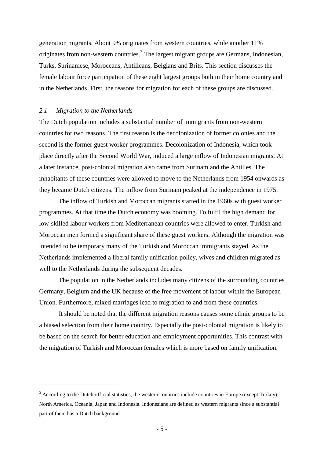generation migrants. About 9% originates from western countries, while another 11% originates from non-western countries.<sup>3</sup> The largest migrant groups are Germans, Indonesian, Turks, Surinamese, Moroccans, Antilleans, Belgians and Brits. This section discusses the female labour force participation of these eight largest groups both in their home country and in the Netherlands. First, the reasons for migration for each of these groups are discussed.

## *2.1 Migration to the Netherlands*

<u>.</u>

The Dutch population includes a substantial number of immigrants from non-western countries for two reasons. The first reason is the decolonization of former colonies and the second is the former guest worker programmes. Decolonization of Indonesia, which took place directly after the Second World War, induced a large inflow of Indonesian migrants. At a later instance, post-colonial migration also came from Surinam and the Antilles. The inhabitants of these countries were allowed to move to the Netherlands from 1954 onwards as they became Dutch citizens. The inflow from Surinam peaked at the independence in 1975.

The inflow of Turkish and Moroccan migrants started in the 1960s with guest worker programmes. At that time the Dutch economy was booming. To fulfil the high demand for low-skilled labour workers from Mediterranean countries were allowed to enter. Turkish and Moroccan men formed a significant share of these guest workers. Although the migration was intended to be temporary many of the Turkish and Moroccan immigrants stayed. As the Netherlands implemented a liberal family unification policy, wives and children migrated as well to the Netherlands during the subsequent decades.

The population in the Netherlands includes many citizens of the surrounding countries Germany, Belgium and the UK because of the free movement of labour within the European Union. Furthermore, mixed marriages lead to migration to and from these countries.

It should be noted that the different migration reasons causes some ethnic groups to be a biased selection from their home country. Especially the post-colonial migration is likely to be based on the search for better education and employment opportunities. This contrast with the migration of Turkish and Moroccan females which is more based on family unification.

<sup>&</sup>lt;sup>3</sup> According to the Dutch official statistics, the western countries include countries in Europe (except Turkey), North America, Oceania, Japan and Indonesia. Indonesians are defined as western migrants since a substantial part of them has a Dutch background.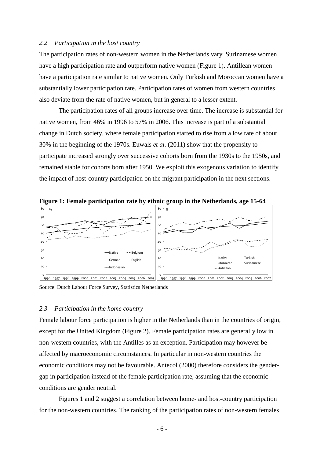### *2.2 Participation in the host country*

The participation rates of non-western women in the Netherlands vary. Surinamese women have a high participation rate and outperform native women (Figure 1). Antillean women have a participation rate similar to native women. Only Turkish and Moroccan women have a substantially lower participation rate. Participation rates of women from western countries also deviate from the rate of native women, but in general to a lesser extent.

The participation rates of all groups increase over time. The increase is substantial for native women, from 46% in 1996 to 57% in 2006. This increase is part of a substantial change in Dutch society, where female participation started to rise from a low rate of about 30% in the beginning of the 1970s. Euwals *et al.* (2011) show that the propensity to participate increased strongly over successive cohorts born from the 1930s to the 1950s, and remained stable for cohorts born after 1950. We exploit this exogenous variation to identify the impact of host-country participation on the migrant participation in the next sections.



Source: Dutch Labour Force Survey, Statistics Netherlands

### *2.3 Participation in the home country*

Female labour force participation is higher in the Netherlands than in the countries of origin, except for the United Kingdom (Figure 2). Female participation rates are generally low in non-western countries, with the Antilles as an exception. Participation may however be affected by macroeconomic circumstances. In particular in non-western countries the economic conditions may not be favourable. Antecol (2000) therefore considers the gendergap in participation instead of the female participation rate, assuming that the economic conditions are gender neutral.

Figures 1 and 2 suggest a correlation between home- and host-country participation for the non-western countries. The ranking of the participation rates of non-western females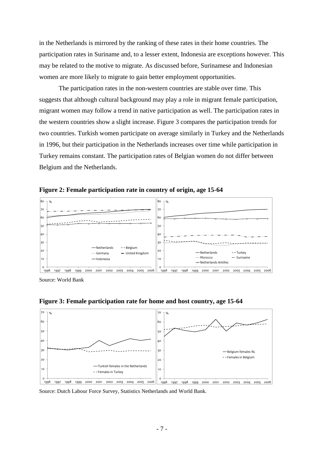in the Netherlands is mirrored by the ranking of these rates in their home countries. The participation rates in Suriname and, to a lesser extent, Indonesia are exceptions however. This may be related to the motive to migrate. As discussed before, Surinamese and Indonesian women are more likely to migrate to gain better employment opportunities.

The participation rates in the non-western countries are stable over time. This suggests that although cultural background may play a role in migrant female participation, migrant women may follow a trend in native participation as well. The participation rates in the western countries show a slight increase. Figure 3 compares the participation trends for two countries. Turkish women participate on average similarly in Turkey and the Netherlands in 1996, but their participation in the Netherlands increases over time while participation in Turkey remains constant. The participation rates of Belgian women do not differ between Belgium and the Netherlands.



10

**Figure 2: Female participation rate in country of origin, age 15-64**

Germany United Kingdom

Source: World Bank

1996 1997 1998 1999 2000 2001 2002 2003 2004 2005 2006

elndonesia

0 <sub>10</sub>



0 1996 1997 1998 1999 2000 2001 2002 2003 2004 2005 2006

Netherlands Antilles

-Netherlands - Turkey mand Morocco - Suriname

**Figure 3: Female participation rate for home and host country, age 15-64**

Source: Dutch Labour Force Survey, Statistics Netherlands and World Bank.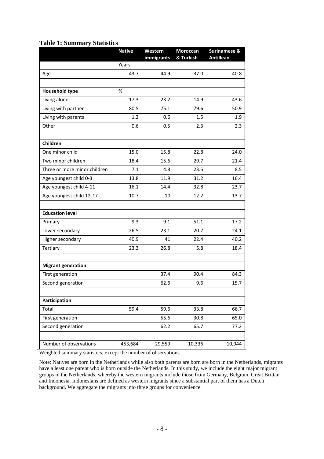## **Table 1: Summary Statistics**

|                              | <b>Native</b> | Western<br>immigrants | Moroccan<br>& Turkish | Surinamese &<br><b>Antillean</b> |
|------------------------------|---------------|-----------------------|-----------------------|----------------------------------|
|                              | Years         |                       |                       |                                  |
| Age                          | 43.7          | 44.9                  | 37.0                  | 40.8                             |
| <b>Household type</b>        | $\%$          |                       |                       |                                  |
| Living alone                 | 17.3          | 23.2                  | 14.9                  | 43.6                             |
| Living with partner          | 80.5          | 75.1                  | 79.6                  | 50.9                             |
| Living with parents          | 1.2           | 0.6                   | 1.5                   | 1.9                              |
| Other                        | 0.6           | 0.5                   | 2.3                   | 2.3                              |
| Children                     |               |                       |                       |                                  |
| One minor child              | 15.0          | 15.8                  | 22.8                  | 24.0                             |
| Two minor children           | 18.4          | 15.6                  | 29.7                  | 21.4                             |
| Three or more minor children | 7.1           | 4.8                   | 23.5                  | 8.5                              |
| Age youngest child 0-3       | 13.8          | 11.9                  | 31.2                  | 16.4                             |
| Age youngest child 4-11      | 16.1          | 14.4                  | 32.8                  | 23.7                             |
| Age youngest child 12-17     | 10.7          | 10                    | 12.2                  | 13.7                             |
| <b>Education level</b>       |               |                       |                       |                                  |
| Primary                      | 9.3           | 9.1                   | 51.1                  | 17.2                             |
| Lower secondary              | 26.5          | 23.1                  | 20.7                  | 24.1                             |
| Higher secondary             | 40.9          | 41                    | 22.4                  | 40.2                             |
| Tertiary                     | 23.3          | 26.8                  | 5.8                   | 18.4                             |
| <b>Migrant generation</b>    |               |                       |                       |                                  |
| First generation             |               | 37.4                  | 90.4                  | 84.3                             |
| Second generation            |               | 62.6                  | 9.6                   | 15.7                             |
| Participation                |               |                       |                       |                                  |
| Total                        | 59.4          | 59.6                  | 33.8                  | 66.7                             |
| First generation             |               | 55.6                  | 30.8                  | 65.0                             |
| Second generation            |               | 62.2                  | 65.7                  | 77.2                             |
| Number of observations       | 453,684       | 29,559                | 10,336                | 10,944                           |

Weighted summary statistics, except the number of observations

Note: Natives are born in the Netherlands while also both parents are born are born in the Netherlands, migrants have a least one parent who is born outside the Netherlands. In this study, we include the eight major migrant groups in the Netherlands, whereby the western migrants include those from Germany, Belgium, Great Brittan and Indonesia. Indonesians are defined as western migrants since a substantial part of them has a Dutch background. We aggregate the migrants into three groups for convenience.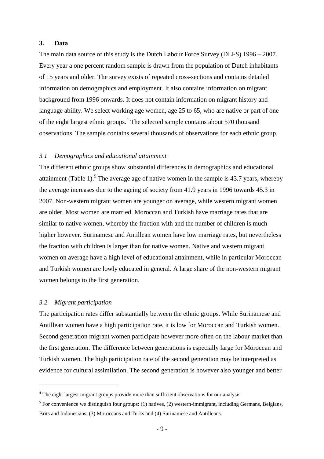## **3. Data**

The main data source of this study is the Dutch Labour Force Survey (DLFS) 1996 – 2007. Every year a one percent random sample is drawn from the population of Dutch inhabitants of 15 years and older. The survey exists of repeated cross-sections and contains detailed information on demographics and employment. It also contains information on migrant background from 1996 onwards. It does not contain information on migrant history and language ability. We select working age women, age 25 to 65, who are native or part of one of the eight largest ethnic groups. 4 The selected sample contains about 570 thousand observations. The sample contains several thousands of observations for each ethnic group.

#### *3.1 Demographics and educational attainment*

The different ethnic groups show substantial differences in demographics and educational attainment (Table 1).<sup>5</sup> The average age of native women in the sample is 43.7 years, whereby the average increases due to the ageing of society from 41.9 years in 1996 towards 45.3 in 2007. Non-western migrant women are younger on average, while western migrant women are older. Most women are married. Moroccan and Turkish have marriage rates that are similar to native women, whereby the fraction with and the number of children is much higher however. Surinamese and Antillean women have low marriage rates, but nevertheless the fraction with children is larger than for native women. Native and western migrant women on average have a high level of educational attainment, while in particular Moroccan and Turkish women are lowly educated in general. A large share of the non-western migrant women belongs to the first generation.

#### *3.2 Migrant participation*

<u>.</u>

The participation rates differ substantially between the ethnic groups. While Surinamese and Antillean women have a high participation rate, it is low for Moroccan and Turkish women. Second generation migrant women participate however more often on the labour market than the first generation. The difference between generations is especially large for Moroccan and Turkish women. The high participation rate of the second generation may be interpreted as evidence for cultural assimilation. The second generation is however also younger and better

<sup>&</sup>lt;sup>4</sup> The eight largest migrant groups provide more than sufficient observations for our analysis.

 $<sup>5</sup>$  For convenience we distinguish four groups: (1) natives, (2) western-immigrant, including Germans, Belgians,</sup> Brits and Indonesians, (3) Moroccans and Turks and (4) Surinamese and Antilleans.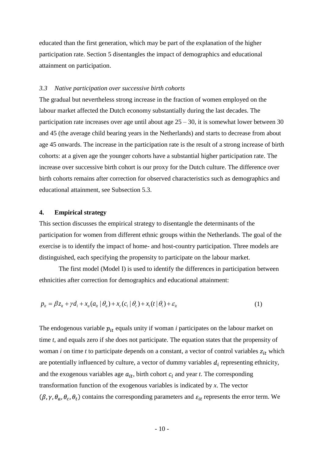educated than the first generation, which may be part of the explanation of the higher participation rate. Section 5 disentangles the impact of demographics and educational attainment on participation.

## *3.3 Native participation over successive birth cohorts*

The gradual but nevertheless strong increase in the fraction of women employed on the labour market affected the Dutch economy substantially during the last decades. The participation rate increases over age until about age  $25 - 30$ , it is somewhat lower between 30 and 45 (the average child bearing years in the Netherlands) and starts to decrease from about age 45 onwards. The increase in the participation rate is the result of a strong increase of birth cohorts: at a given age the younger cohorts have a substantial higher participation rate. The increase over successive birth cohort is our proxy for the Dutch culture. The difference over birth cohorts remains after correction for observed characteristics such as demographics and educational attainment, see Subsection 5.3.

## **4. Empirical strategy**

This section discusses the empirical strategy to disentangle the determinants of the participation for women from different ethnic groups within the Netherlands. The goal of the exercise is to identify the impact of home- and host-country participation. Three models are distinguished, each specifying the propensity to participate on the labour market.

The first model (Model I) is used to identify the differences in participation between ethnicities after correction for demographics and educational attainment:

$$
p_{it} = \beta z_{it} + \gamma d_i + x_a (a_{it} | \theta_a) + x_c (c_i | \theta_c) + x_t (t | \theta_t) + \varepsilon_{it}
$$
\n(1)

The endogenous variable  $p_{it}$  equals unity if woman *i* participates on the labour market on time *t,* and equals zero if she does not participate. The equation states that the propensity of woman *i* on time *t* to participate depends on a constant, a vector of control variables  $z_{it}$  which are potentially influenced by culture, a vector of dummy variables  $d_i$  representing ethnicity, and the exogenous variables age  $a_{it}$ , birth cohort  $c_i$  and year *t*. The corresponding transformation function of the exogenous variables is indicated by *x*. The vector  $(\beta, \gamma, \theta_a, \theta_c, \theta_t)$  contains the corresponding parameters and  $\varepsilon_{it}$  represents the error term. We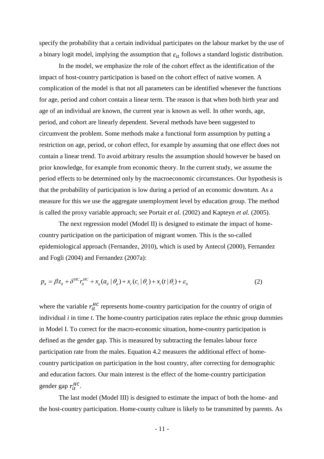specify the probability that a certain individual participates on the labour market by the use of a binary logit model, implying the assumption that  $\varepsilon_{it}$  follows a standard logistic distribution.

In the model, we emphasize the role of the cohort effect as the identification of the impact of host-country participation is based on the cohort effect of native women. A complication of the model is that not all parameters can be identified whenever the functions for age, period and cohort contain a linear term. The reason is that when both birth year and age of an individual are known, the current year is known as well. In other words, age, period, and cohort are linearly dependent. Several methods have been suggested to circumvent the problem. Some methods make a functional form assumption by putting a restriction on age, period, or cohort effect, for example by assuming that one effect does not contain a linear trend. To avoid arbitrary results the assumption should however be based on prior knowledge, for example from economic theory. In the current study, we assume the period effects to be determined only by the macroeconomic circumstances. Our hypothesis is that the probability of participation is low during a period of an economic downturn. As a measure for this we use the aggregate unemployment level by education group. The method is called the proxy variable approach; see Portait *et al.* (2002) and Kapteyn *et al.* (2005).

The next regression model (Model II) is designed to estimate the impact of homecountry participation on the participation of migrant women. This is the so-called epidemiological approach (Fernandez, 2010), which is used by Antecol (2000), Fernandez and Fogli (2004) and Fernandez (2007a):

$$
p_{it} = \beta z_{it} + \delta^{HC} r_{it}^{HC} + x_a (a_{it} | \theta_a) + x_c (c_i | \theta_c) + x_t (t | \theta_t) + \varepsilon_{it}
$$
\n(2)

where the variable  $r_{it}^{HC}$  represents home-country participation for the country of origin of individual  $i$  in time  $t$ . The home-country participation rates replace the ethnic group dummies in Model I. To correct for the macro-economic situation, home-country participation is defined as the gender gap. This is measured by subtracting the females labour force participation rate from the males. Equation 4.2 measures the additional effect of homecountry participation on participation in the host country, after correcting for demographic and education factors. Our main interest is the effect of the home-country participation gender gap  $r_{it}^{HC}$ .

The last model (Model III) is designed to estimate the impact of both the home- and the host-country participation. Home-county culture is likely to be transmitted by parents. As

- 11 -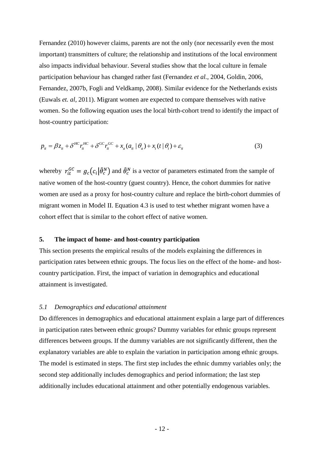Fernandez (2010) however claims, parents are not the only (nor necessarily even the most important) transmitters of culture; the relationship and institutions of the local environment also impacts individual behaviour. Several studies show that the local culture in female participation behaviour has changed rather fast (Fernandez *et al.*, 2004, Goldin, 2006, Fernandez, 2007b, Fogli and Veldkamp, 2008). Similar evidence for the Netherlands exists (Euwals *et. al*, 2011). Migrant women are expected to compare themselves with native women. So the following equation uses the local birth-cohort trend to identify the impact of host-country participation:

$$
p_{it} = \beta z_{it} + \delta^{HC} r_{it}^{HC} + \delta^{GC} r_{it}^{GC} + x_a (a_{it} | \theta_a) + x_t (t | \theta_t) + \varepsilon_{it}
$$
\n(3)

whereby  $r_{it}^{GC} = g_c(c_i|\hat{\theta}_c^N)$  and  $\hat{\theta}_c^N$  is a vector of parameters estimated from the sample of native women of the host-country (guest country). Hence, the cohort dummies for native women are used as a proxy for host-country culture and replace the birth-cohort dummies of migrant women in Model II. Equation 4.3 is used to test whether migrant women have a cohort effect that is similar to the cohort effect of native women.

## **5. The impact of home- and host-country participation**

This section presents the empirical results of the models explaining the differences in participation rates between ethnic groups. The focus lies on the effect of the home- and hostcountry participation. First, the impact of variation in demographics and educational attainment is investigated.

## *5.1 Demographics and educational attainment*

Do differences in demographics and educational attainment explain a large part of differences in participation rates between ethnic groups? Dummy variables for ethnic groups represent differences between groups. If the dummy variables are not significantly different, then the explanatory variables are able to explain the variation in participation among ethnic groups. The model is estimated in steps. The first step includes the ethnic dummy variables only; the second step additionally includes demographics and period information; the last step additionally includes educational attainment and other potentially endogenous variables.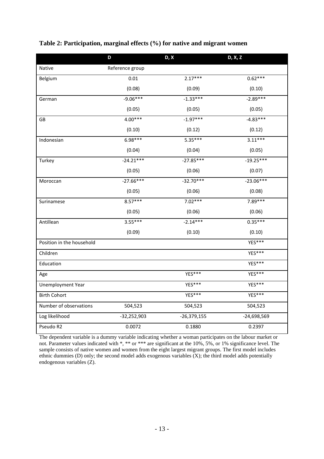|                           | D               | D, X          | D, X, Z       |
|---------------------------|-----------------|---------------|---------------|
| Native                    | Reference group |               |               |
| Belgium                   | 0.01            | $2.17***$     | $0.62***$     |
|                           | (0.08)          | (0.09)        | (0.10)        |
| German                    | $-9.06***$      | $-1.33***$    | $-2.89***$    |
|                           | (0.05)          | (0.05)        | (0.05)        |
| GB                        | $4.00***$       | $-1.97***$    | $-4.83***$    |
|                           | (0.10)          | (0.12)        | (0.12)        |
| Indonesian                | 6.98***         | $5.35***$     | $3.11***$     |
|                           | (0.04)          | (0.04)        | (0.05)        |
| Turkey                    | $-24.21***$     | $-27.85***$   | $-19.25***$   |
|                           | (0.05)          | (0.06)        | (0.07)        |
| Moroccan                  | $-27.66***$     | $-32.70***$   | $-23.06***$   |
|                           | (0.05)          | (0.06)        | (0.08)        |
| Surinamese                | $8.57***$       | $7.02***$     | 7.89***       |
|                           | (0.05)          | (0.06)        | (0.06)        |
| Antillean                 | $3.55***$       | $-2.14***$    | $0.35***$     |
|                           | (0.09)          | (0.10)        | (0.10)        |
| Position in the household |                 |               | YES***        |
| Children                  |                 |               | YES***        |
| Education                 |                 |               | YES***        |
| Age                       |                 | YES***        | $YES***$      |
| Unemployment Year         |                 | YES***        | YES***        |
| <b>Birth Cohort</b>       |                 | YES***        | YES***        |
| Number of observations    | 504,523         | 504,523       | 504,523       |
| Log likelihood            | $-32,252,903$   | $-26,379,155$ | $-24,698,569$ |
| Pseudo R2                 | 0.0072          | 0.1880        | 0.2397        |

## **Table 2: Participation, marginal effects (%) for native and migrant women**

The dependent variable is a dummy variable indicating whether a woman participates on the labour market or not. Parameter values indicated with \*, \*\* or \*\*\* are significant at the 10%, 5%, or 1% significance level. The sample consists of native women and women from the eight largest migrant groups. The first model includes ethnic dummies (D) only; the second model adds exogenous variables (X); the third model adds potentially endogenous variables (Z).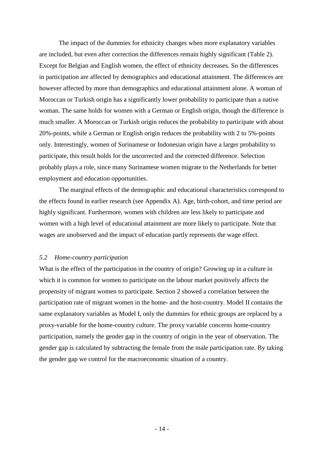The impact of the dummies for ethnicity changes when more explanatory variables are included, but even after correction the differences remain highly significant (Table 2). Except for Belgian and English women, the effect of ethnicity decreases. So the differences in participation are affected by demographics and educational attainment. The differences are however affected by more than demographics and educational attainment alone. A woman of Moroccan or Turkish origin has a significantly lower probability to participate than a native woman. The same holds for women with a German or English origin, though the difference is much smaller. A Moroccan or Turkish origin reduces the probability to participate with about 20%-points, while a German or English origin reduces the probability with 2 to 5%-points only. Interestingly, women of Surinamese or Indonesian origin have a larger probability to participate, this result holds for the uncorrected and the corrected difference. Selection probably plays a role, since many Surinamese women migrate to the Netherlands for better employment and education opportunities.

The marginal effects of the demographic and educational characteristics correspond to the effects found in earlier research (see Appendix A). Age, birth-cohort, and time period are highly significant. Furthermore, women with children are less likely to participate and women with a high level of educational attainment are more likely to participate. Note that wages are unobserved and the impact of education partly represents the wage effect.

## *5.2 Home-country participation*

What is the effect of the participation in the country of origin? Growing up in a culture in which it is common for women to participate on the labour market positively affects the propensity of migrant women to participate. Section 2 showed a correlation between the participation rate of migrant women in the home- and the host-country. Model II contains the same explanatory variables as Model I, only the dummies for ethnic groups are replaced by a proxy-variable for the home-country culture. The proxy variable concerns home-country participation, namely the gender gap in the country of origin in the year of observation. The gender gap is calculated by subtracting the female from the male participation rate. By taking the gender gap we control for the macroeconomic situation of a country.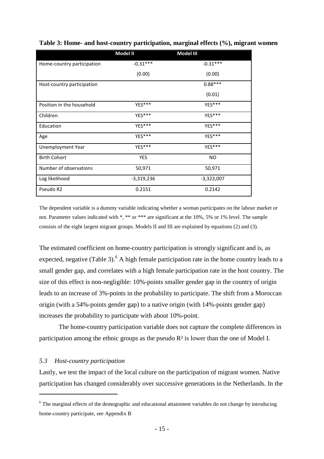|                            | Model II   | Model III  |
|----------------------------|------------|------------|
| Home-country participation | $-0.31***$ | $-0.31***$ |
|                            | (0.00)     | (0.00)     |
| Host-country participation |            | $0.88***$  |
|                            |            | (0.01)     |
| Position in the household  | YES***     | YES***     |
| Children                   | YES***     | YES***     |
| Education                  | YES***     | YES***     |
| Age                        | YES***     | YES***     |
| Unemployment Year          | YES***     | YES***     |
| <b>Birth Cohort</b>        | YES        | NO.        |
| Number of observations     | 50,971     | 50,971     |
| Log likelihood             | -3,319,236 | -3,323,007 |
| Pseudo R2                  | 0.2151     | 0.2142     |

**Table 3: Home- and host-country participation, marginal effects (%), migrant women**

The dependent variable is a dummy variable indicating whether a woman participates on the labour market or not. Parameter values indicated with \*, \*\* or \*\*\* are significant at the 10%, 5% or 1% level. The sample consists of the eight largest migrant groups. Models II and III are explained by equations (2) and (3).

The estimated coefficient on home-country participation is strongly significant and is, as expected, negative (Table 3).  $6$  A high female participation rate in the home country leads to a small gender gap, and correlates with a high female participation rate in the host country. The size of this effect is non-negligible: 10%-points smaller gender gap in the country of origin leads to an increase of 3%-points in the probability to participate. The shift from a Moroccan origin (with a 54%-points gender gap) to a native origin (with 14%-points gender gap) increases the probability to participate with about 10%-point.

The home-country participation variable does not capture the complete differences in participation among the ethnic groups as the pseudo R² is lower than the one of Model I.

## *5.3 Host-country participation*

1

Lastly, we test the impact of the local culture on the participation of migrant women. Native participation has changed considerably over successive generations in the Netherlands. In the

<sup>&</sup>lt;sup>6</sup> The marginal effects of the demographic and educational attainment variables do not change by introducing home-country participate, see Appendix B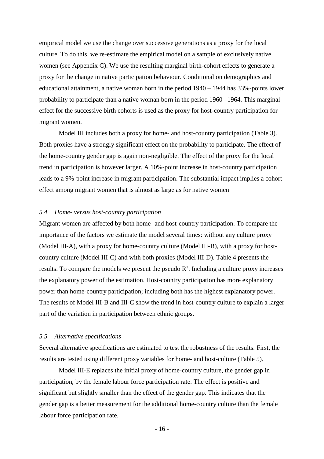empirical model we use the change over successive generations as a proxy for the local culture. To do this, we re-estimate the empirical model on a sample of exclusively native women (see Appendix C). We use the resulting marginal birth-cohort effects to generate a proxy for the change in native participation behaviour. Conditional on demographics and educational attainment, a native woman born in the period 1940 – 1944 has 33%-points lower probability to participate than a native woman born in the period 1960 –1964. This marginal effect for the successive birth cohorts is used as the proxy for host-country participation for migrant women.

Model III includes both a proxy for home- and host-country participation (Table 3). Both proxies have a strongly significant effect on the probability to participate. The effect of the home-country gender gap is again non-negligible. The effect of the proxy for the local trend in participation is however larger. A 10%-point increase in host-country participation leads to a 9%-point increase in migrant participation. The substantial impact implies a cohorteffect among migrant women that is almost as large as for native women

### *5.4 Home- versus host-country participation*

Migrant women are affected by both home- and host-country participation. To compare the importance of the factors we estimate the model several times: without any culture proxy (Model III-A), with a proxy for home-country culture (Model III-B), with a proxy for hostcountry culture (Model III-C) and with both proxies (Model III-D). Table 4 presents the results. To compare the models we present the pseudo R². Including a culture proxy increases the explanatory power of the estimation. Host-country participation has more explanatory power than home-country participation; including both has the highest explanatory power. The results of Model III-B and III-C show the trend in host-country culture to explain a larger part of the variation in participation between ethnic groups.

## *5.5 Alternative specifications*

Several alternative specifications are estimated to test the robustness of the results. First, the results are tested using different proxy variables for home- and host-culture (Table 5).

Model III-E replaces the initial proxy of home-country culture, the gender gap in participation, by the female labour force participation rate. The effect is positive and significant but slightly smaller than the effect of the gender gap. This indicates that the gender gap is a better measurement for the additional home-country culture than the female labour force participation rate.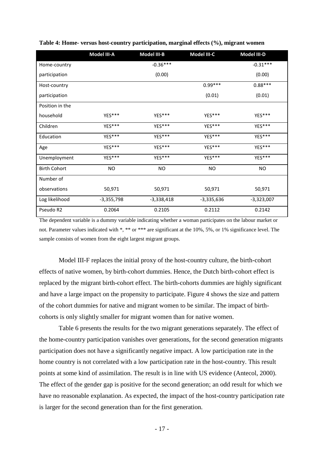|                     | Model III-A  | Model III-B  | Model III-C  | Model III-D  |
|---------------------|--------------|--------------|--------------|--------------|
| Home-country        |              | $-0.36***$   |              | $-0.31***$   |
| participation       |              | (0.00)       |              | (0.00)       |
| Host-country        |              |              | $0.99***$    | $0.88***$    |
| participation       |              |              | (0.01)       | (0.01)       |
| Position in the     |              |              |              |              |
| household           | YES***       | YES***       | YES***       | YES***       |
| Children            | YES***       | YES***       | YES***       | YES***       |
| Education           | YES***       | YES***       | YES***       | YES***       |
| Age                 | YES***       | YES***       | YES***       | YES***       |
| Unemployment        | YES***       | YES***       | YES***       | YES***       |
| <b>Birth Cohort</b> | <b>NO</b>    | NO.          | NO.          | <b>NO</b>    |
| Number of           |              |              |              |              |
| observations        | 50,971       | 50,971       | 50,971       | 50,971       |
| Log likelihood      | $-3,355,798$ | $-3,338,418$ | $-3,335,636$ | $-3,323,007$ |
| Pseudo R2           | 0.2064       | 0.2105       | 0.2112       | 0.2142       |

**Table 4: Home- versus host-country participation, marginal effects (%), migrant women**

The dependent variable is a dummy variable indicating whether a woman participates on the labour market or not. Parameter values indicated with \*, \*\* or \*\*\* are significant at the 10%, 5%, or 1% significance level. The sample consists of women from the eight largest migrant groups.

Model III-F replaces the initial proxy of the host-country culture, the birth-cohort effects of native women, by birth-cohort dummies. Hence, the Dutch birth-cohort effect is replaced by the migrant birth-cohort effect. The birth-cohorts dummies are highly significant and have a large impact on the propensity to participate. Figure 4 shows the size and pattern of the cohort dummies for native and migrant women to be similar. The impact of birthcohorts is only slightly smaller for migrant women than for native women.

Table 6 presents the results for the two migrant generations separately. The effect of the home-country participation vanishes over generations, for the second generation migrants participation does not have a significantly negative impact. A low participation rate in the home country is not correlated with a low participation rate in the host-country. This result points at some kind of assimilation. The result is in line with US evidence (Antecol, 2000). The effect of the gender gap is positive for the second generation; an odd result for which we have no reasonable explanation. As expected, the impact of the host-country participation rate is larger for the second generation than for the first generation.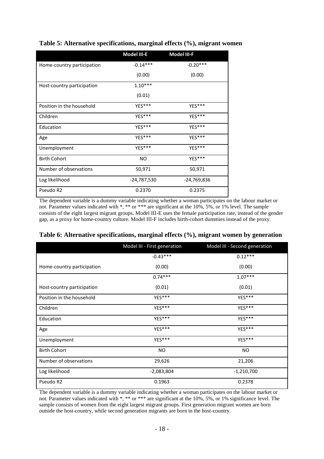|                            | Model III-E | Model III-F |
|----------------------------|-------------|-------------|
| Home-country participation | $-0.14***$  | $-0.20***$  |
|                            | (0.00)      | (0.00)      |
| Host-country participation | $1.10***$   |             |
|                            | (0.01)      |             |
| Position in the household  | YES***      | YES***      |
| Children                   | YES***      | YES***      |
| Education                  | YES***      | YES***      |
| Age                        | YES***      | YES***      |
| Unemployment               | YES***      | YES***      |
| <b>Birth Cohort</b>        | <b>NO</b>   | YES***      |
| Number of observations     | 50,971      | 50,971      |
| Log likelihood             | -24,787,530 | -24,769,836 |
| Pseudo R2                  | 0.2370      | 0.2375      |

## **Table 5: Alternative specifications, marginal effects (%), migrant women**

The dependent variable is a dummy variable indicating whether a woman participates on the labour market or not. Parameter values indicated with \*, \*\* or \*\*\* are significant at the 10%, 5%, or 1% level. The sample consists of the eight largest migrant groups. Model III-E uses the female participation rate, instead of the gender gap, as a proxy for home-country culture. Model III-F includes birth-cohort dummies instead of the proxy.

|                            | Model III - First generation | Model III - Second generation |
|----------------------------|------------------------------|-------------------------------|
|                            | $-0.43***$                   | $0.12***$                     |
| Home-country participation | (0.00)                       | (0.00)                        |
|                            | $0.74***$                    | $1.07***$                     |
| Host-country participation | (0.01)                       | (0.01)                        |
| Position in the household  | YES***                       | YES***                        |
| Children                   | YES***                       | YES***                        |
| Education                  | YES***                       | YES***                        |
| Age                        | YES***                       | YES***                        |
| Unemployment               | YES***                       | YES***                        |
| <b>Birth Cohort</b>        | NO.                          | <b>NO</b>                     |
| Number of observations     | 29,626                       | 21,206                        |
| Log likelihood             | $-2,083,804$                 | $-1,210,700$                  |
| Pseudo R2                  | 0.1963                       | 0.2378                        |

## **Table 6: Alternative specifications, marginal effects (%), migrant women by generation**

The dependent variable is a dummy variable indicating whether a woman participates on the labour market or not. Parameter values indicated with \*, \*\* or \*\*\* are significant at the 10%, 5%, or 1% significance level. The sample consists of women from the eight largest migrant groups. First generation migrant women are born outside the host-country, while second generation migrants are born in the host-country.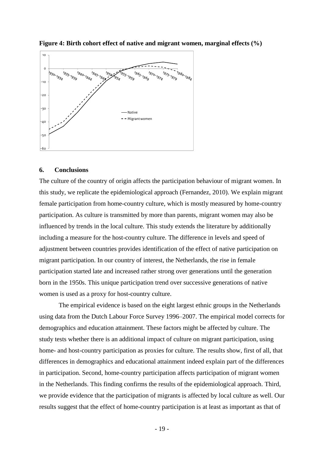

**Figure 4: Birth cohort effect of native and migrant women, marginal effects (%)**

#### **6. Conclusions**

The culture of the country of origin affects the participation behaviour of migrant women. In this study, we replicate the epidemiological approach (Fernandez, 2010). We explain migrant female participation from home-country culture, which is mostly measured by home-country participation. As culture is transmitted by more than parents, migrant women may also be influenced by trends in the local culture. This study extends the literature by additionally including a measure for the host-country culture. The difference in levels and speed of adjustment between countries provides identification of the effect of native participation on migrant participation. In our country of interest, the Netherlands, the rise in female participation started late and increased rather strong over generations until the generation born in the 1950s. This unique participation trend over successive generations of native women is used as a proxy for host-country culture.

The empirical evidence is based on the eight largest ethnic groups in the Netherlands using data from the Dutch Labour Force Survey 1996–2007. The empirical model corrects for demographics and education attainment. These factors might be affected by culture. The study tests whether there is an additional impact of culture on migrant participation, using home- and host-country participation as proxies for culture. The results show, first of all, that differences in demographics and educational attainment indeed explain part of the differences in participation. Second, home-country participation affects participation of migrant women in the Netherlands. This finding confirms the results of the epidemiological approach. Third, we provide evidence that the participation of migrants is affected by local culture as well. Our results suggest that the effect of home-country participation is at least as important as that of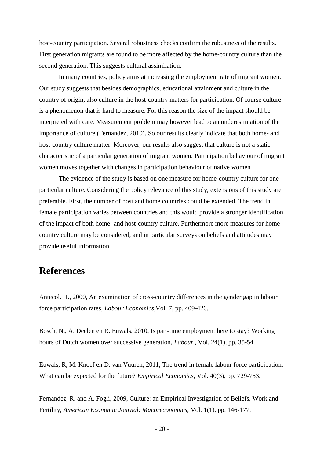host-country participation. Several robustness checks confirm the robustness of the results. First generation migrants are found to be more affected by the home-country culture than the second generation. This suggests cultural assimilation.

In many countries, policy aims at increasing the employment rate of migrant women. Our study suggests that besides demographics, educational attainment and culture in the country of origin, also culture in the host-country matters for participation. Of course culture is a phenomenon that is hard to measure. For this reason the size of the impact should be interpreted with care. Measurement problem may however lead to an underestimation of the importance of culture (Fernandez, 2010). So our results clearly indicate that both home- and host-country culture matter. Moreover, our results also suggest that culture is not a static characteristic of a particular generation of migrant women. Participation behaviour of migrant women moves together with changes in participation behaviour of native women

The evidence of the study is based on one measure for home-country culture for one particular culture. Considering the policy relevance of this study, extensions of this study are preferable. First, the number of host and home countries could be extended. The trend in female participation varies between countries and this would provide a stronger identification of the impact of both home- and host-country culture. Furthermore more measures for homecountry culture may be considered, and in particular surveys on beliefs and attitudes may provide useful information.

## **References**

Antecol. H., 2000, An examination of cross-country differences in the gender gap in labour force participation rates, *Labour Economics*,Vol. 7, pp. 409-426.

Bosch, N., A. Deelen en R. Euwals, 2010, Is part-time employment here to stay? Working hours of Dutch women over successive generation, *Labour* , Vol. 24(1), pp. 35-54.

Euwals, R, M. Knoef en D. van Vuuren, 2011, The trend in female labour force participation: What can be expected for the future? *Empirical Economics*, Vol. 40(3), pp. 729-753.

Fernandez, R. and A. Fogli, 2009, Culture: an Empirical Investigation of Beliefs, Work and Fertility, *American Economic Journal: Macoreconomics*, Vol. 1(1), pp. 146-177.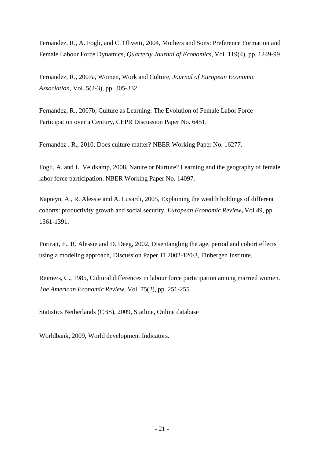Fernandez, R., A. Fogli, and C. Olivetti, 2004, Mothers and Sons: Preference Formation and Female Labour Force Dynamics, *Quarterly Journal of Economics*, Vol. 119(4), pp. 1249-99

Fernandez, R., 2007a, Women, Work and Culture, *Journal of European Economic Association*, Vol. 5(2-3), pp. 305-332.

Fernandez, R., 2007b, Culture as Learning: The Evolution of Female Labor Force Participation over a Century, CEPR Discussion Paper No. 6451.

Fernandez . R., 2010, Does culture matter? NBER Working Paper No. 16277.

Fogli, A. and L. Veldkamp, 2008, Nature or Nurture? Learning and the geography of female labor force participation, NBER Working Paper No. 14097.

Kapteyn, A., R. Alessie and A. Lusardi, 2005, Explaining the wealth holdings of different cohorts: productivity growth and social security, *European Economic Review***,** Vol 49, pp. 1361-1391.

Portrait, F., R. Alessie and D. Deeg, 2002, Disentangling the age, period and cohort effects using a modeling approach, Discussion Paper TI 2002-120/3, Tinbergen Institute.

Reimers, C., 1985, Cultural differences in labour force participation among married women. *The American Economic Review*, Vol. 75(2), pp. 251-255.

Statistics Netherlands (CBS), 2009, Statline, Online database

Worldbank, 2009, World development Indicators.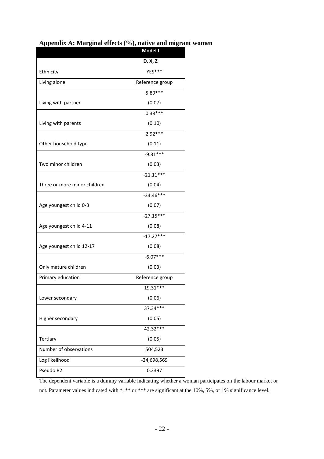|                              | Model I         |
|------------------------------|-----------------|
|                              | D, X, Z         |
| Ethnicity                    | YES***          |
| Living alone                 | Reference group |
|                              | $5.89***$       |
| Living with partner          | (0.07)          |
|                              | $0.38***$       |
| Living with parents          | (0.10)          |
|                              | $2.92***$       |
| Other household type         | (0.11)          |
|                              | $-9.31***$      |
| Two minor children           | (0.03)          |
|                              | $-21.11***$     |
| Three or more minor children | (0.04)          |
|                              | $-34.46***$     |
| Age youngest child 0-3       | (0.07)          |
|                              | $-27.15***$     |
| Age youngest child 4-11      | (0.08)          |
|                              | $-17.27***$     |
| Age youngest child 12-17     | (0.08)          |
|                              | $-6.07***$      |
| Only mature children         | (0.03)          |
| Primary education            | Reference group |
|                              | 19.31***        |
| Lower secondary              | (0.06)          |
|                              | 37.34***        |
| Higher secondary             | (0.05)          |
|                              | 42.32***        |
| Tertiary                     | (0.05)          |
| Number of observations       | 504,523         |
| Log likelihood               | $-24,698,569$   |
| Pseudo R2                    | 0.2397          |

|  |  |  | Appendix A: Marginal effects (%), native and migrant women |  |  |  |
|--|--|--|------------------------------------------------------------|--|--|--|
|--|--|--|------------------------------------------------------------|--|--|--|

The dependent variable is a dummy variable indicating whether a woman participates on the labour market or not. Parameter values indicated with \*, \*\* or \*\*\* are significant at the 10%, 5%, or 1% significance level.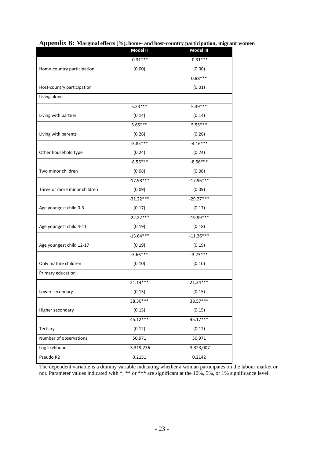|                              | Model II     | Model III    |
|------------------------------|--------------|--------------|
|                              | $-0.31***$   | $-0.31***$   |
| Home-country participation   | (0.00)       | (0.00)       |
|                              |              | $0.88***$    |
| Host-country participation   |              | (0.01)       |
| Living alone                 |              |              |
|                              | $5.23***$    | 5.39***      |
| Living with partner          | (0.14)       | (0.14)       |
|                              | $5.65***$    | $5.55***$    |
| Living with parents          | (0.26)       | (0.26)       |
|                              | $-3.85***$   | $-4.16***$   |
| Other household type         | (0.24)       | (0.24)       |
|                              | $-8.56***$   | $-8.56***$   |
| Two minor children           | (0.08)       | (0.08)       |
|                              | $-17.98***$  | $-17.96***$  |
| Three or more minor children | (0.09)       | (0.09)       |
|                              | $-31.22***$  | $-29.27***$  |
| Age youngest child 0-3       | (0.17)       | (0.17)       |
|                              | $-22.22***$  | $-19.99***$  |
| Age youngest child 4-11      | (0.19)       | (0.18)       |
|                              | $-13.64***$  | $-11.26***$  |
| Age youngest child 12-17     | (0.19)       | (0.19)       |
|                              | $-3.66***$   | $-3.73***$   |
| Only mature children         | (0.10)       | (0.10)       |
| Primary education            |              |              |
|                              | 21.14***     | 21.34***     |
| Lower secondary              | (0.15)       | (0.15)       |
|                              | 38.30***     | 38.57***     |
| Higher secondary             | (0.15)       | (0.15)       |
|                              | 45.12***     | 45.17***     |
| Tertiary                     | (0.12)       | (0.12)       |
| Number of observations       | 50,971       | 50,971       |
| Log likelihood               | $-3,319,236$ | $-3,323,007$ |
| Pseudo R2                    | 0.2151       | 0.2142       |
|                              |              |              |

## **Appendix B: Marginal effects (%), home- and host-country participation, migrant women**

The dependent variable is a dummy variable indicating whether a woman participates on the labour market or not. Parameter values indicated with \*, \*\* or \*\*\* are significant at the 10%, 5%, or 1% significance level.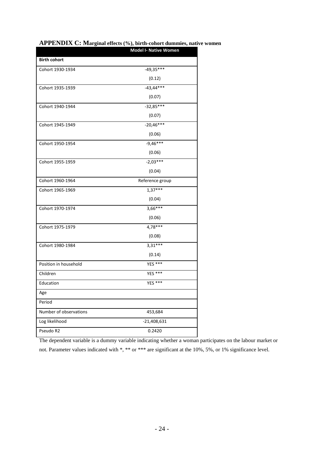|                        | <b>Model I- Native Women</b> |
|------------------------|------------------------------|
| <b>Birth cohort</b>    |                              |
| Cohort 1930-1934       | $-49,35***$                  |
|                        | (0.12)                       |
| Cohort 1935-1939       | $-43,44***$                  |
|                        | (0.07)                       |
| Cohort 1940-1944       | $-32,85***$                  |
|                        | (0.07)                       |
| Cohort 1945-1949       | $-20,46***$                  |
|                        | (0.06)                       |
| Cohort 1950-1954       | $-9,46***$                   |
|                        | (0.06)                       |
| Cohort 1955-1959       | $-2,03***$                   |
|                        | (0.04)                       |
| Cohort 1960-1964       | Reference group              |
| Cohort 1965-1969       | $1,37***$                    |
|                        | (0.04)                       |
| Cohort 1970-1974       | $3,66***$                    |
|                        | (0.06)                       |
| Cohort 1975-1979       | 4,78***                      |
|                        | (0.08)                       |
| Cohort 1980-1984       | $3,31***$                    |
|                        | (0.14)                       |
| Position in household  | <b>YES ***</b>               |
| Children               | YES ***                      |
| Education              | YES ***                      |
| Age                    |                              |
| Period                 |                              |
| Number of observations | 453,684                      |
| Log likelihood         | $-21,408,631$                |
| Pseudo R2              | 0.2420                       |

## **APPENDIX C: Marginal effects (%), birth-cohort dummies, native women**

The dependent variable is a dummy variable indicating whether a woman participates on the labour market or not. Parameter values indicated with \*, \*\* or \*\*\* are significant at the 10%, 5%, or 1% significance level.